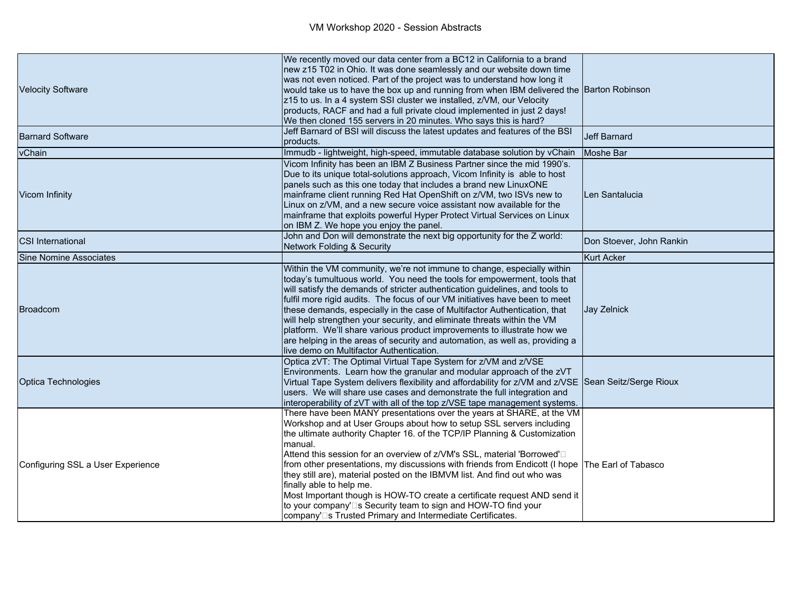| <b>Velocity Software</b>          | We recently moved our data center from a BC12 in California to a brand<br>new z15 T02 in Ohio. It was done seamlessly and our website down time<br>was not even noticed. Part of the project was to understand how long it<br>would take us to have the box up and running from when IBM delivered the Barton Robinson<br>z15 to us. In a 4 system SSI cluster we installed, z/VM, our Velocity<br>products, RACF and had a full private cloud implemented in just 2 days!<br>We then cloned 155 servers in 20 minutes. Who says this is hard?                                                                                                                                                                                                       |                          |
|-----------------------------------|------------------------------------------------------------------------------------------------------------------------------------------------------------------------------------------------------------------------------------------------------------------------------------------------------------------------------------------------------------------------------------------------------------------------------------------------------------------------------------------------------------------------------------------------------------------------------------------------------------------------------------------------------------------------------------------------------------------------------------------------------|--------------------------|
| <b>Barnard Software</b>           | Jeff Barnard of BSI will discuss the latest updates and features of the BSI<br>products.                                                                                                                                                                                                                                                                                                                                                                                                                                                                                                                                                                                                                                                             | <b>Jeff Barnard</b>      |
| vChain                            | Immudb - lightweight, high-speed, immutable database solution by vChain                                                                                                                                                                                                                                                                                                                                                                                                                                                                                                                                                                                                                                                                              | Moshe Bar                |
| Vicom Infinity                    | Vicom Infinity has been an IBM Z Business Partner since the mid 1990's.<br>Due to its unique total-solutions approach, Vicom Infinity is able to host<br>panels such as this one today that includes a brand new LinuxONE<br>mainframe client running Red Hat OpenShift on z/VM, two ISVs new to<br>Linux on z/VM, and a new secure voice assistant now available for the<br>mainframe that exploits powerful Hyper Protect Virtual Services on Linux<br>on IBM Z. We hope you enjoy the panel.                                                                                                                                                                                                                                                      | Len Santalucia           |
| <b>CSI International</b>          | John and Don will demonstrate the next big opportunity for the Z world:<br>Network Folding & Security                                                                                                                                                                                                                                                                                                                                                                                                                                                                                                                                                                                                                                                | Don Stoever, John Rankin |
| Sine Nomine Associates            |                                                                                                                                                                                                                                                                                                                                                                                                                                                                                                                                                                                                                                                                                                                                                      | Kurt Acker               |
| Broadcom                          | Within the VM community, we're not immune to change, especially within<br>today's tumultuous world. You need the tools for empowerment, tools that<br>will satisfy the demands of stricter authentication guidelines, and tools to<br>fulfil more rigid audits. The focus of our VM initiatives have been to meet<br>these demands, especially in the case of Multifactor Authentication, that<br>will help strengthen your security, and eliminate threats within the VM<br>platform. We'll share various product improvements to illustrate how we<br>are helping in the areas of security and automation, as well as, providing a<br>live demo on Multifactor Authentication.                                                                     | Jay Zelnick              |
| Optica Technologies               | Optica zVT: The Optimal Virtual Tape System for z/VM and z/VSE<br>Environments. Learn how the granular and modular approach of the zVT<br>Virtual Tape System delivers flexibility and affordability for z/VM and z/VSE Sean Seitz/Serge Rioux<br>users. We will share use cases and demonstrate the full integration and<br>interoperability of zVT with all of the top z/VSE tape management systems.                                                                                                                                                                                                                                                                                                                                              |                          |
| Configuring SSL a User Experience | There have been MANY presentations over the years at SHARE, at the VM<br>Workshop and at User Groups about how to setup SSL servers including<br>the ultimate authority Chapter 16. of the TCP/IP Planning & Customization<br>lmanual.<br>Attend this session for an overview of z/VM's SSL, material 'Borrowed' <sup>[1]</sup><br>from other presentations, my discussions with friends from Endicott (I hope The Earl of Tabasco<br>they still are), material posted on the IBMVM list. And find out who was<br>finally able to help me.<br>Most Important though is HOW-TO create a certificate request AND send it<br>to your company'□s Security team to sign and HOW-TO find your<br>company'□s Trusted Primary and Intermediate Certificates. |                          |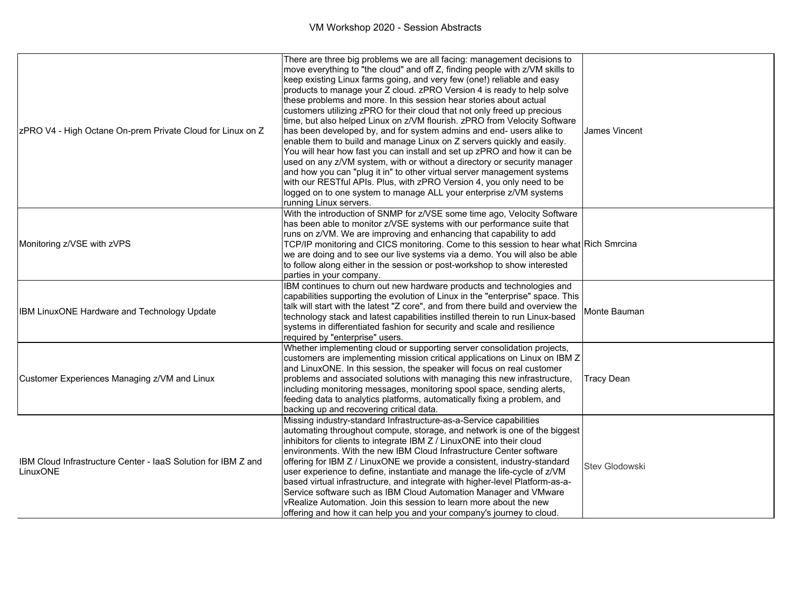| ZPRO V4 - High Octane On-prem Private Cloud for Linux on Z                | There are three big problems we are all facing: management decisions to<br>move everything to "the cloud" and off Z, finding people with z/VM skills to<br>keep existing Linux farms going, and very few (one!) reliable and easy<br>products to manage your Z cloud. zPRO Version 4 is ready to help solve<br>these problems and more. In this session hear stories about actual<br>customers utilizing zPRO for their cloud that not only freed up precious<br>time, but also helped Linux on z/VM flourish. zPRO from Velocity Software<br>has been developed by, and for system admins and end- users alike to<br>enable them to build and manage Linux on Z servers quickly and easily.<br>You will hear how fast you can install and set up zPRO and how it can be<br>used on any z/VM system, with or without a directory or security manager<br>and how you can "plug it in" to other virtual server management systems<br>with our RESTful APIs. Plus, with zPRO Version 4, you only need to be<br>logged on to one system to manage ALL your enterprise z/VM systems<br>running Linux servers. | James Vincent     |
|---------------------------------------------------------------------------|----------------------------------------------------------------------------------------------------------------------------------------------------------------------------------------------------------------------------------------------------------------------------------------------------------------------------------------------------------------------------------------------------------------------------------------------------------------------------------------------------------------------------------------------------------------------------------------------------------------------------------------------------------------------------------------------------------------------------------------------------------------------------------------------------------------------------------------------------------------------------------------------------------------------------------------------------------------------------------------------------------------------------------------------------------------------------------------------------------|-------------------|
| Monitoring z/VSE with zVPS                                                | With the introduction of SNMP for z/VSE some time ago, Velocity Software<br>has been able to monitor z/VSE systems with our performance suite that<br>runs on z/VM. We are improving and enhancing that capability to add<br>TCP/IP monitoring and CICS monitoring. Come to this session to hear what Rich Smrcina<br>we are doing and to see our live systems via a demo. You will also be able<br>to follow along either in the session or post-workshop to show interested<br>parties in your company.                                                                                                                                                                                                                                                                                                                                                                                                                                                                                                                                                                                                |                   |
| <b>IBM LinuxONE Hardware and Technology Update</b>                        | IBM continues to churn out new hardware products and technologies and<br>capabilities supporting the evolution of Linux in the "enterprise" space. This<br>talk will start with the latest "Z core", and from there build and overview the<br>technology stack and latest capabilities instilled therein to run Linux-based<br>systems in differentiated fashion for security and scale and resilience<br>required by "enterprise" users.                                                                                                                                                                                                                                                                                                                                                                                                                                                                                                                                                                                                                                                                | IMonte Bauman     |
| Customer Experiences Managing z/VM and Linux                              | Whether implementing cloud or supporting server consolidation projects,<br>customers are implementing mission critical applications on Linux on IBM Z<br>and LinuxONE. In this session, the speaker will focus on real customer<br>problems and associated solutions with managing this new infrastructure,<br>including monitoring messages, monitoring spool space, sending alerts,<br>feeding data to analytics platforms, automatically fixing a problem, and<br>backing up and recovering critical data.                                                                                                                                                                                                                                                                                                                                                                                                                                                                                                                                                                                            | <b>Tracy Dean</b> |
| IBM Cloud Infrastructure Center - laaS Solution for IBM Z and<br>LinuxONE | Missing industry-standard Infrastructure-as-a-Service capabilities<br>automating throughout compute, storage, and network is one of the biggest<br>inhibitors for clients to integrate IBM Z / LinuxONE into their cloud<br>environments. With the new IBM Cloud Infrastructure Center software<br>offering for IBM Z / LinuxONE we provide a consistent, industry-standard<br>user experience to define, instantiate and manage the life-cycle of z/VM<br>based virtual infrastructure, and integrate with higher-level Platform-as-a-<br>Service software such as IBM Cloud Automation Manager and VMware<br>vRealize Automation. Join this session to learn more about the new<br>offering and how it can help you and your company's journey to cloud.                                                                                                                                                                                                                                                                                                                                               | Stev Glodowski    |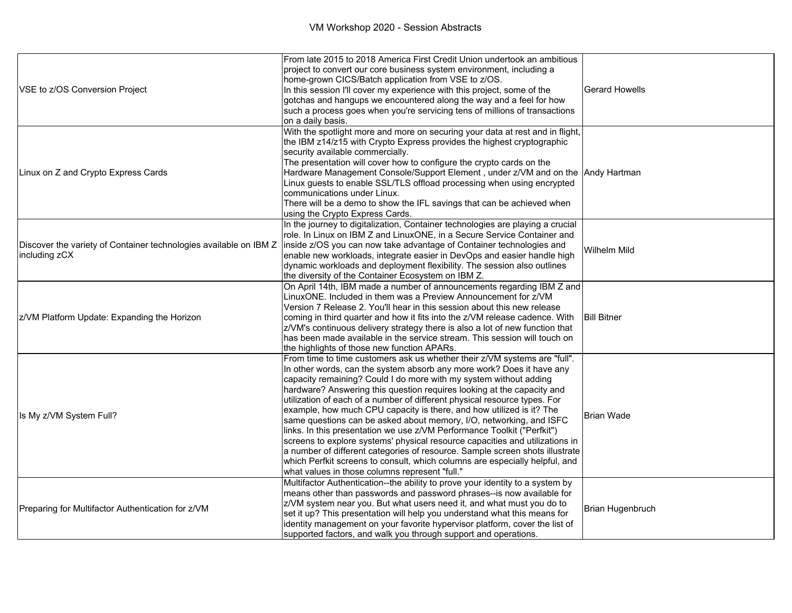|                                                                   | From late 2015 to 2018 America First Credit Union undertook an ambitious<br>project to convert our core business system environment, including a |                    |
|-------------------------------------------------------------------|--------------------------------------------------------------------------------------------------------------------------------------------------|--------------------|
|                                                                   | home-grown CICS/Batch application from VSE to z/OS.                                                                                              |                    |
| VSE to z/OS Conversion Project                                    | In this session I'll cover my experience with this project, some of the                                                                          | Gerard Howells     |
|                                                                   | gotchas and hangups we encountered along the way and a feel for how                                                                              |                    |
|                                                                   | such a process goes when you're servicing tens of millions of transactions                                                                       |                    |
|                                                                   | on a daily basis.                                                                                                                                |                    |
|                                                                   | With the spotlight more and more on securing your data at rest and in flight,                                                                    |                    |
|                                                                   | the IBM z14/z15 with Crypto Express provides the highest cryptographic                                                                           |                    |
|                                                                   | security available commercially.                                                                                                                 |                    |
|                                                                   | The presentation will cover how to configure the crypto cards on the                                                                             |                    |
| Linux on Z and Crypto Express Cards                               | Hardware Management Console/Support Element, under z/VM and on the Andy Hartman                                                                  |                    |
|                                                                   | Linux guests to enable SSL/TLS offload processing when using encrypted<br>communications under Linux.                                            |                    |
|                                                                   | There will be a demo to show the IFL savings that can be achieved when                                                                           |                    |
|                                                                   | using the Crypto Express Cards.                                                                                                                  |                    |
|                                                                   | In the journey to digitalization, Container technologies are playing a crucial                                                                   |                    |
|                                                                   | role. In Linux on IBM Z and LinuxONE, in a Secure Service Container and                                                                          |                    |
| Discover the variety of Container technologies available on IBM Z | inside z/OS you can now take advantage of Container technologies and                                                                             |                    |
| including zCX                                                     | enable new workloads, integrate easier in DevOps and easier handle high                                                                          | Wilhelm Mild       |
|                                                                   | dynamic workloads and deployment flexibility. The session also outlines                                                                          |                    |
|                                                                   | the diversity of the Container Ecosystem on IBM Z.                                                                                               |                    |
|                                                                   | On April 14th, IBM made a number of announcements regarding IBM Z and                                                                            |                    |
|                                                                   | LinuxONE, Included in them was a Preview Announcement for z/VM                                                                                   |                    |
|                                                                   | Version 7 Release 2. You'll hear in this session about this new release                                                                          |                    |
| z/VM Platform Update: Expanding the Horizon                       | coming in third quarter and how it fits into the z/VM release cadence. With                                                                      | <b>Bill Bitner</b> |
|                                                                   | z/VM's continuous delivery strategy there is also a lot of new function that                                                                     |                    |
|                                                                   | has been made available in the service stream. This session will touch on                                                                        |                    |
|                                                                   | the highlights of those new function APARs.                                                                                                      |                    |
|                                                                   | From time to time customers ask us whether their z/VM systems are "full".                                                                        |                    |
|                                                                   | In other words, can the system absorb any more work? Does it have any<br>capacity remaining? Could I do more with my system without adding       |                    |
|                                                                   | hardware? Answering this question requires looking at the capacity and                                                                           |                    |
|                                                                   | utilization of each of a number of different physical resource types. For                                                                        |                    |
|                                                                   | example, how much CPU capacity is there, and how utilized is it? The                                                                             | Brian Wade         |
| Is My z/VM System Full?                                           | same questions can be asked about memory, I/O, networking, and ISFC                                                                              |                    |
|                                                                   | links. In this presentation we use z/VM Performance Toolkit ("Perfkit")                                                                          |                    |
|                                                                   | screens to explore systems' physical resource capacities and utilizations in                                                                     |                    |
|                                                                   | a number of different categories of resource. Sample screen shots illustrate                                                                     |                    |
|                                                                   | which Perfkit screens to consult, which columns are especially helpful, and                                                                      |                    |
|                                                                   | what values in those columns represent "full."                                                                                                   |                    |
|                                                                   | Multifactor Authentication--the ability to prove your identity to a system by                                                                    |                    |
| Preparing for Multifactor Authentication for z/VM                 | means other than passwords and password phrases--is now available for                                                                            |                    |
|                                                                   | z/VM system near you. But what users need it, and what must you do to                                                                            | Brian Hugenbruch   |
|                                                                   | set it up? This presentation will help you understand what this means for                                                                        |                    |
|                                                                   | identity management on your favorite hypervisor platform, cover the list of                                                                      |                    |
|                                                                   | supported factors, and walk you through support and operations.                                                                                  |                    |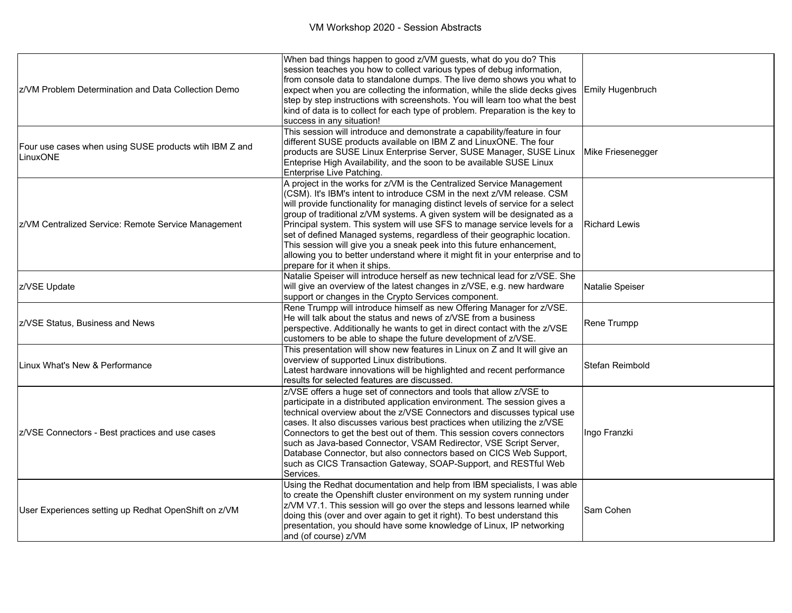| z/VM Problem Determination and Data Collection Demo                | When bad things happen to good z/VM guests, what do you do? This<br>session teaches you how to collect various types of debug information,<br>from console data to standalone dumps. The live demo shows you what to<br>expect when you are collecting the information, while the slide decks gives<br>step by step instructions with screenshots. You will learn too what the best<br>kind of data is to collect for each type of problem. Preparation is the key to<br>success in any situation!                                                                                                                                                                    | Emily Hugenbruch     |
|--------------------------------------------------------------------|-----------------------------------------------------------------------------------------------------------------------------------------------------------------------------------------------------------------------------------------------------------------------------------------------------------------------------------------------------------------------------------------------------------------------------------------------------------------------------------------------------------------------------------------------------------------------------------------------------------------------------------------------------------------------|----------------------|
| Four use cases when using SUSE products wtih IBM Z and<br>LinuxONE | This session will introduce and demonstrate a capability/feature in four<br>different SUSE products available on IBM Z and LinuxONE. The four<br>products are SUSE Linux Enterprise Server, SUSE Manager, SUSE Linux<br>Enteprise High Availability, and the soon to be available SUSE Linux<br>Enterprise Live Patching.                                                                                                                                                                                                                                                                                                                                             | Mike Friesenegger    |
| z/VM Centralized Service: Remote Service Management                | A project in the works for z/VM is the Centralized Service Management<br>(CSM). It's IBM's intent to introduce CSM in the next z/VM release. CSM<br>will provide functionality for managing distinct levels of service for a select<br>group of traditional z/VM systems. A given system will be designated as a<br>Principal system. This system will use SFS to manage service levels for a<br>set of defined Managed systems, regardless of their geographic location.<br>This session will give you a sneak peek into this future enhancement,<br>allowing you to better understand where it might fit in your enterprise and to<br>prepare for it when it ships. | <b>Richard Lewis</b> |
| z/VSE Update                                                       | Natalie Speiser will introduce herself as new technical lead for z/VSE. She<br>will give an overview of the latest changes in z/VSE, e.g. new hardware<br>support or changes in the Crypto Services component.                                                                                                                                                                                                                                                                                                                                                                                                                                                        | Natalie Speiser      |
| z/VSE Status, Business and News                                    | Rene Trumpp will introduce himself as new Offering Manager for z/VSE.<br>He will talk about the status and news of z/VSE from a business<br>perspective. Additionally he wants to get in direct contact with the z/VSE<br>customers to be able to shape the future development of z/VSE.                                                                                                                                                                                                                                                                                                                                                                              | Rene Trumpp          |
| Linux What's New & Performance                                     | This presentation will show new features in Linux on Z and It will give an<br>overview of supported Linux distributions.<br>Latest hardware innovations will be highlighted and recent performance<br>results for selected features are discussed.                                                                                                                                                                                                                                                                                                                                                                                                                    | Stefan Reimbold      |
| z/VSE Connectors - Best practices and use cases                    | z/VSE offers a huge set of connectors and tools that allow z/VSE to<br>participate in a distributed application environment. The session gives a<br>technical overview about the z/VSE Connectors and discusses typical use<br>cases. It also discusses various best practices when utilizing the z/VSE<br>Connectors to get the best out of them. This session covers connectors<br>such as Java-based Connector, VSAM Redirector, VSE Script Server,<br>Database Connector, but also connectors based on CICS Web Support,<br>such as CICS Transaction Gateway, SOAP-Support, and RESTful Web<br>Services.                                                          | Ingo Franzki         |
| User Experiences setting up Redhat OpenShift on z/VM               | Using the Redhat documentation and help from IBM specialists, I was able<br>to create the Openshift cluster environment on my system running under<br>z/VM V7.1. This session will go over the steps and lessons learned while<br>doing this (over and over again to get it right). To best understand this<br>presentation, you should have some knowledge of Linux, IP networking<br>and (of course) z/VM                                                                                                                                                                                                                                                           | Sam Cohen            |